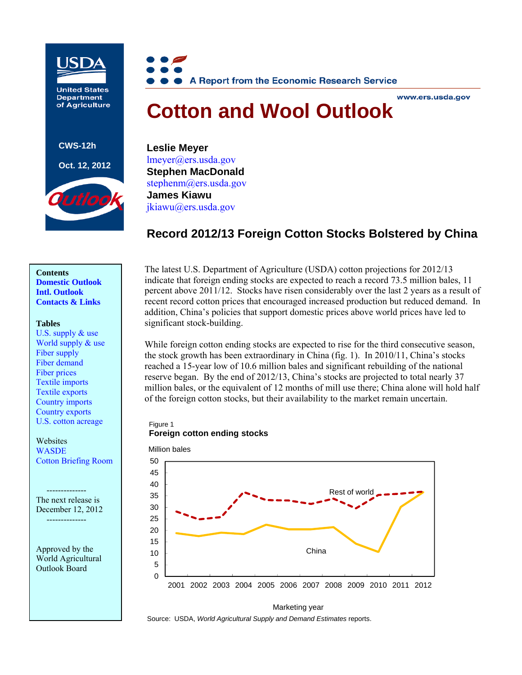

**United States Department** of Agriculture

**CWS-12h** 

#### **Oct. 12, 2012**





#### www.ers.usda.gov

# **Cotton and Wool Outlook**

**Leslie Meyer**  [lmeyer@ers.usda.gov](mailto:lmeyer@ers.usda.gov)  **Stephen MacDonald**  stephenm@ers.usda.gov**James Kiawu** [jkiawu@ers.usda.gov](mailto:jkiawu@ers.usda.gov)

# **Record 2012/13 Foreign Cotton Stocks Bolstered by China**

### **Contents [Domestic Outlook](#page-1-0) [Intl. Outlook](#page-3-0)  [Contacts & Links](#page-6-0)**

#### **Tables**

[U.S. supply & use](#page-7-0)  World supply  $&$  use [Fiber supply](#page-9-0)  [Fiber demand](#page-10-0)  [Fiber prices](#page-11-0)  [Textile imports](#page-12-0)  [Textile exports](#page-13-0)  [Country imports](#page-14-0)  [Country exports](#page-15-0)  [U.S. cotton acreage](#page-16-0) 

**Websites WASDE** [Cotton Briefing Room](http://www.ers.usda.gov/topics/crops/cotton-wool.aspx) 

The next release is December 12, 2012 --------------

--------------

Approved by the World Agricultural Outlook Board

The latest U.S. Department of Agriculture (USDA) cotton projections for 2012/13 indicate that foreign ending stocks are expected to reach a record 73.5 million bales, 11 percent above 2011/12. Stocks have risen considerably over the last 2 years as a result of recent record cotton prices that encouraged increased production but reduced demand. In addition, China's policies that support domestic prices above world prices have led to significant stock-building.

While foreign cotton ending stocks are expected to rise for the third consecutive season, the stock growth has been extraordinary in China (fig. 1). In 2010/11, China's stocks reached a 15-year low of 10.6 million bales and significant rebuilding of the national reserve began. By the end of 2012/13, China's stocks are projected to total nearly 37 million bales, or the equivalent of 12 months of mill use there; China alone will hold half of the foreign cotton stocks, but their availability to the market remain uncertain.

#### Figure 1 **Foreign cotton ending stocks**





Source: USDA, *World Agricultural Supply and Demand Estimates* reports.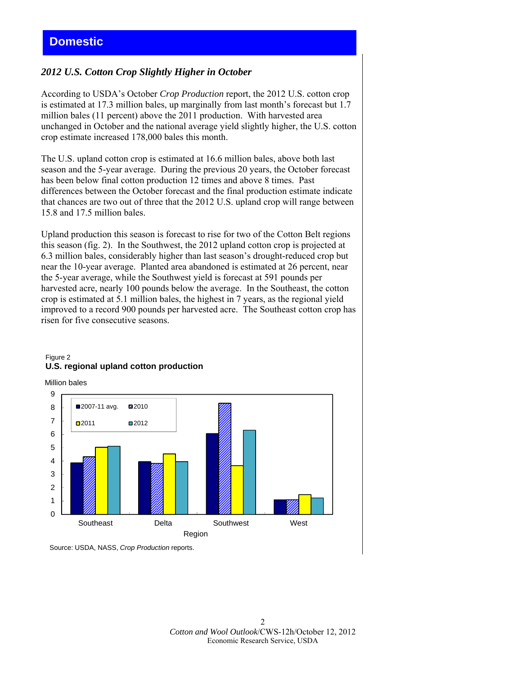# <span id="page-1-0"></span>*2012 U.S. Cotton Crop Slightly Higher in October*

According to USDA's October *Crop Production* report, the 2012 U.S. cotton crop is estimated at 17.3 million bales, up marginally from last month's forecast but 1.7 million bales (11 percent) above the 2011 production. With harvested area unchanged in October and the national average yield slightly higher, the U.S. cotton crop estimate increased 178,000 bales this month.

The U.S. upland cotton crop is estimated at 16.6 million bales, above both last season and the 5-year average. During the previous 20 years, the October forecast has been below final cotton production 12 times and above 8 times. Past differences between the October forecast and the final production estimate indicate that chances are two out of three that the 2012 U.S. upland crop will range between 15.8 and 17.5 million bales.

Upland production this season is forecast to rise for two of the Cotton Belt regions this season (fig. 2). In the Southwest, the 2012 upland cotton crop is projected at 6.3 million bales, considerably higher than last season's drought-reduced crop but near the 10-year average. Planted area abandoned is estimated at 26 percent, near the 5-year average, while the Southwest yield is forecast at 591 pounds per harvested acre, nearly 100 pounds below the average. In the Southeast, the cotton crop is estimated at 5.1 million bales, the highest in 7 years, as the regional yield improved to a record 900 pounds per harvested acre. The Southeast cotton crop has risen for five consecutive seasons.



# Figure 2 **U.S. regional upland cotton production**

Million bales

Source: USDA, NASS, *Crop Production* reports.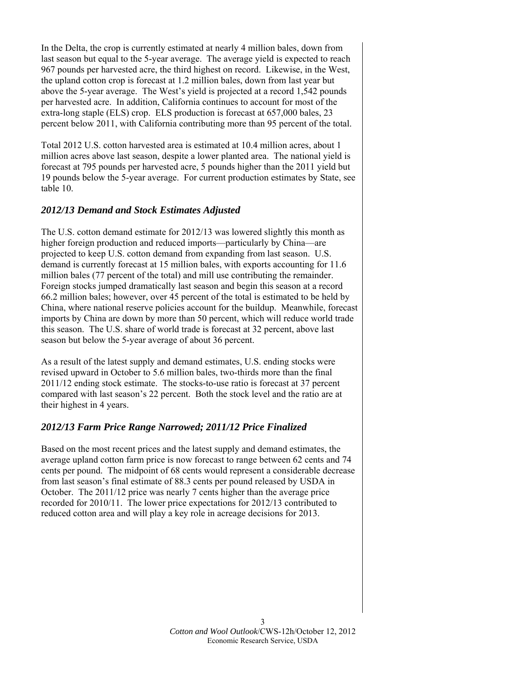In the Delta, the crop is currently estimated at nearly 4 million bales, down from last season but equal to the 5-year average. The average yield is expected to reach 967 pounds per harvested acre, the third highest on record. Likewise, in the West, the upland cotton crop is forecast at 1.2 million bales, down from last year but above the 5-year average. The West's yield is projected at a record 1,542 pounds per harvested acre. In addition, California continues to account for most of the extra-long staple (ELS) crop. ELS production is forecast at 657,000 bales, 23 percent below 2011, with California contributing more than 95 percent of the total.

Total 2012 U.S. cotton harvested area is estimated at 10.4 million acres, about 1 million acres above last season, despite a lower planted area. The national yield is forecast at 795 pounds per harvested acre, 5 pounds higher than the 2011 yield but 19 pounds below the 5-year average. For current production estimates by State, see table 10.

# *2012/13 Demand and Stock Estimates Adjusted*

The U.S. cotton demand estimate for 2012/13 was lowered slightly this month as higher foreign production and reduced imports—particularly by China—are projected to keep U.S. cotton demand from expanding from last season. U.S. demand is currently forecast at 15 million bales, with exports accounting for 11.6 million bales (77 percent of the total) and mill use contributing the remainder. Foreign stocks jumped dramatically last season and begin this season at a record 66.2 million bales; however, over 45 percent of the total is estimated to be held by China, where national reserve policies account for the buildup. Meanwhile, forecast imports by China are down by more than 50 percent, which will reduce world trade this season. The U.S. share of world trade is forecast at 32 percent, above last season but below the 5-year average of about 36 percent.

As a result of the latest supply and demand estimates, U.S. ending stocks were revised upward in October to 5.6 million bales, two-thirds more than the final 2011/12 ending stock estimate. The stocks-to-use ratio is forecast at 37 percent compared with last season's 22 percent. Both the stock level and the ratio are at their highest in 4 years.

# *2012/13 Farm Price Range Narrowed; 2011/12 Price Finalized*

Based on the most recent prices and the latest supply and demand estimates, the average upland cotton farm price is now forecast to range between 62 cents and 74 cents per pound. The midpoint of 68 cents would represent a considerable decrease from last season's final estimate of 88.3 cents per pound released by USDA in October. The 2011/12 price was nearly 7 cents higher than the average price recorded for 2010/11. The lower price expectations for 2012/13 contributed to reduced cotton area and will play a key role in acreage decisions for 2013.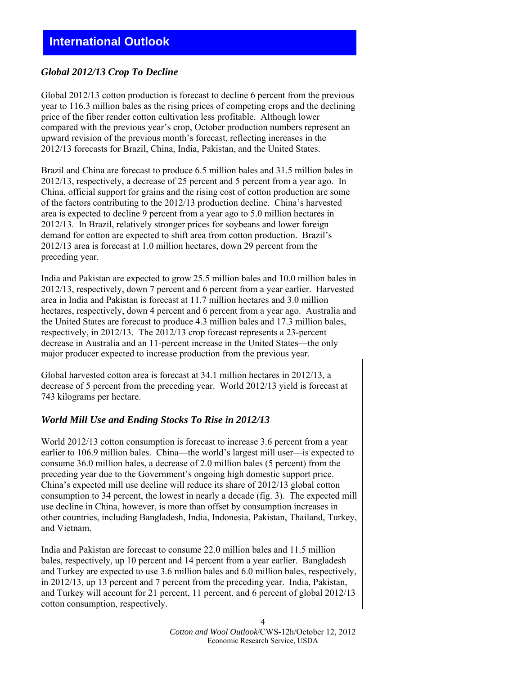# <span id="page-3-0"></span>*Global 2012/13 Crop To Decline*

Global 2012/13 cotton production is forecast to decline 6 percent from the previous year to 116.3 million bales as the rising prices of competing crops and the declining price of the fiber render cotton cultivation less profitable. Although lower compared with the previous year's crop, October production numbers represent an upward revision of the previous month's forecast, reflecting increases in the 2012/13 forecasts for Brazil, China, India, Pakistan, and the United States.

Brazil and China are forecast to produce 6.5 million bales and 31.5 million bales in 2012/13, respectively, a decrease of 25 percent and 5 percent from a year ago. In China, official support for grains and the rising cost of cotton production are some of the factors contributing to the 2012/13 production decline. China's harvested area is expected to decline 9 percent from a year ago to 5.0 million hectares in 2012/13. In Brazil, relatively stronger prices for soybeans and lower foreign demand for cotton are expected to shift area from cotton production. Brazil's 2012/13 area is forecast at 1.0 million hectares, down 29 percent from the preceding year.

India and Pakistan are expected to grow 25.5 million bales and 10.0 million bales in 2012/13, respectively, down 7 percent and 6 percent from a year earlier. Harvested area in India and Pakistan is forecast at 11.7 million hectares and 3.0 million hectares, respectively, down 4 percent and 6 percent from a year ago. Australia and the United States are forecast to produce 4.3 million bales and 17.3 million bales, respectively, in 2012/13. The 2012/13 crop forecast represents a 23-percent decrease in Australia and an 11-percent increase in the United States—the only major producer expected to increase production from the previous year.

Global harvested cotton area is forecast at 34.1 million hectares in 2012/13, a decrease of 5 percent from the preceding year. World 2012/13 yield is forecast at 743 kilograms per hectare.

# *World Mill Use and Ending Stocks To Rise in 2012/13*

World 2012/13 cotton consumption is forecast to increase 3.6 percent from a year earlier to 106.9 million bales. China—the world's largest mill user—is expected to consume 36.0 million bales, a decrease of 2.0 million bales (5 percent) from the preceding year due to the Government's ongoing high domestic support price. China's expected mill use decline will reduce its share of 2012/13 global cotton consumption to 34 percent, the lowest in nearly a decade (fig. 3). The expected mill use decline in China, however, is more than offset by consumption increases in other countries, including Bangladesh, India, Indonesia, Pakistan, Thailand, Turkey, and Vietnam.

India and Pakistan are forecast to consume 22.0 million bales and 11.5 million bales, respectively, up 10 percent and 14 percent from a year earlier. Bangladesh and Turkey are expected to use 3.6 million bales and 6.0 million bales, respectively, in 2012/13, up 13 percent and 7 percent from the preceding year. India, Pakistan, and Turkey will account for 21 percent, 11 percent, and 6 percent of global 2012/13 cotton consumption, respectively.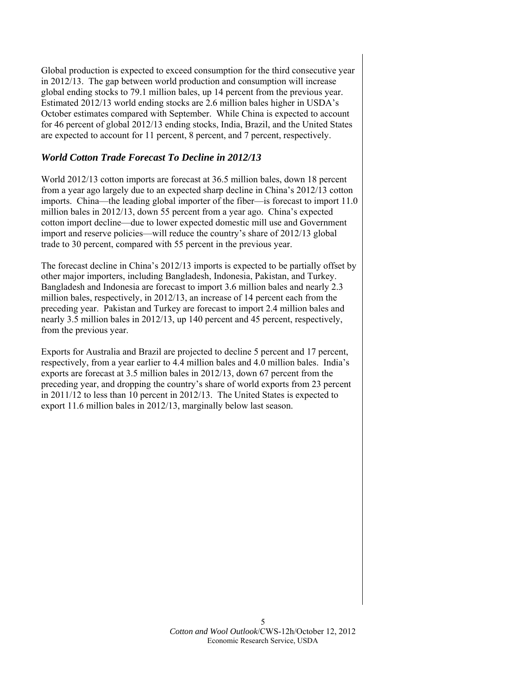Global production is expected to exceed consumption for the third consecutive year in 2012/13. The gap between world production and consumption will increase global ending stocks to 79.1 million bales, up 14 percent from the previous year. Estimated 2012/13 world ending stocks are 2.6 million bales higher in USDA's October estimates compared with September. While China is expected to account for 46 percent of global 2012/13 ending stocks, India, Brazil, and the United States are expected to account for 11 percent, 8 percent, and 7 percent, respectively.

# *World Cotton Trade Forecast To Decline in 2012/13*

World 2012/13 cotton imports are forecast at 36.5 million bales, down 18 percent from a year ago largely due to an expected sharp decline in China's 2012/13 cotton imports. China—the leading global importer of the fiber—is forecast to import 11.0 million bales in 2012/13, down 55 percent from a year ago. China's expected cotton import decline—due to lower expected domestic mill use and Government import and reserve policies—will reduce the country's share of 2012/13 global trade to 30 percent, compared with 55 percent in the previous year.

The forecast decline in China's 2012/13 imports is expected to be partially offset by other major importers, including Bangladesh, Indonesia, Pakistan, and Turkey. Bangladesh and Indonesia are forecast to import 3.6 million bales and nearly 2.3 million bales, respectively, in 2012/13, an increase of 14 percent each from the preceding year. Pakistan and Turkey are forecast to import 2.4 million bales and nearly 3.5 million bales in 2012/13, up 140 percent and 45 percent, respectively, from the previous year.

Exports for Australia and Brazil are projected to decline 5 percent and 17 percent, respectively, from a year earlier to 4.4 million bales and 4.0 million bales. India's exports are forecast at 3.5 million bales in 2012/13, down 67 percent from the preceding year, and dropping the country's share of world exports from 23 percent in 2011/12 to less than 10 percent in 2012/13. The United States is expected to export 11.6 million bales in 2012/13, marginally below last season.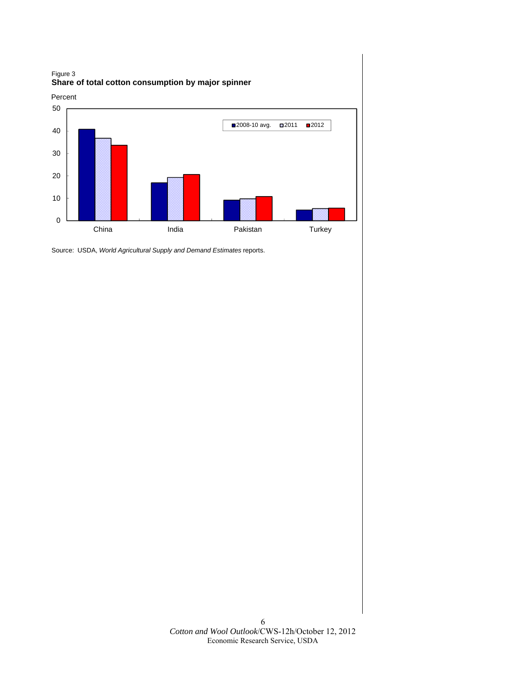

Source: USDA, *World Agricultural Supply and Demand Estimates* reports.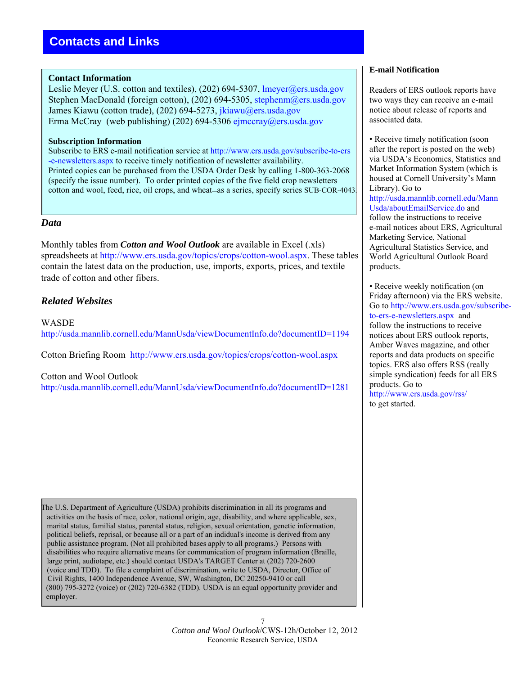# <span id="page-6-0"></span>**Contact Information**

Leslie Meyer (U.S. cotton and textiles), (202) 694-5307, lmeyer@ers.usda.gov Stephen MacDonald (foreign cotton), (202) 694-5305, stephenm@ers.usda.gov James Kiawu (cotton trade), (202) 694-5273, [jkiawu@ers.usda.gov](mailto: jkiawu@ers.usda.gov) Erma McCray (web publishing) (202) 694-53[06 ejmccray@ers.usda.g](mailto: ejmccray@ers.usda.gov)ov

### **Subscription Information**

Subscribe to ERS e-mail notification service at [http://www.ers.usda.gov/subscribe-to-ers](http://www.ers.usda.gov/subscribe-to-ers-e-newsletters.aspx) [-e-newsletters.aspx](http://www.ers.usda.gov/subscribe-to-ers-e-newsletters.aspx) to receive timely notification of newsletter availability. Printed copies can be purchased from the USDA Order Desk by calling 1-800-363-2068 (specify the issue number). To order printed copies of the five field crop newsletters cotton and wool, feed, rice, oil crops, and wheat—as a series, specify series SUB-COR-4043.

### *Data*

r

Monthly tables from *Cotton and Wool Outlook* are available in Excel (.xls) spreadsheets at <http://www.ers.usda.gov/topics/crops/cotton-wool.aspx>. These tables contain the latest data on the production, use, imports, exports, prices, and textile trade of cotton and other fibers.

# *Related Websites*

WASDE <http://usda.mannlib.cornell.edu/MannUsda/viewDocumentInfo.do?documentID=1194>

Cotton Briefing Room <http://www.ers.usda.gov/topics/crops/cotton-wool.aspx>

### Cotton and Wool Outlook

<http://usda.mannlib.cornell.edu/MannUsda/viewDocumentInfo.do?documentID=1281>

The U.S. Department of Agriculture (USDA) prohibits discrimination in all its programs and activities on the basis of race, color, national origin, age, disability, and where applicable, sex, marital status, familial status, parental status, religion, sexual orientation, genetic information, political beliefs, reprisal, or because all or a part of an indidual's income is derived from any public assistance program. (Not all prohibited bases apply to all programs.) Persons with disabilities who require alternative means for communication of program information (Braille, large print, audiotape, etc.) should contact USDA's TARGET Center at (202) 720-2600 (voice and TDD). To file a complaint of discrimination, write to USDA, Director, Office of Civil Rights, 1400 Independence Avenue, SW, Washington, DC 20250-9410 or call (800) 795-3272 (voice) or (202) 720-6382 (TDD). USDA is an equal opportunity provider and employer.

#### **E-mail Notification**

Readers of ERS outlook reports have two ways they can receive an e-mail notice about release of reports and associated data.

• Receive timely notification (soon after the report is posted on the web) via USDA's Economics, Statistics and Market Information System (which is housed at Cornell University's Mann Library). Go to [http://usda.mannlib.cornell.edu/Mann](http://usda.mannlib.cornell.edu/MannUsda/aboutEmailService.do) [Usda/aboutEmailService.do](http://usda.mannlib.cornell.edu/MannUsda/aboutEmailService.do) and follow the instructions to receive e-mail notices about ERS, Agricultural Marketing Service, National Agricultural Statistics Service, and World Agricultural Outlook Board products.

• Receive weekly notification (on Friday afternoon) via the ERS website. Go to [http://www.ers.usda.gov/subscribe](http://www.ers.usda.gov/subscribe-to-ers-e-newsletters.aspx)[to-ers-e-newsletters.aspx](http://www.ers.usda.gov/subscribe-to-ers-e-newsletters.aspx) and follow the instructions to receive notices about ERS outlook reports, Amber Waves magazine, and other reports and data products on specific topics. ERS also offers RSS (really simple syndication) feeds for all ERS products. Go to <http://www.ers.usda.gov/rss/>

to get started.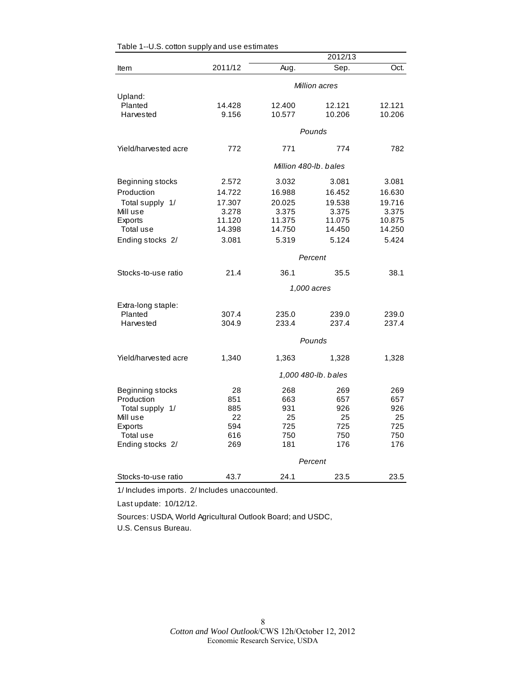<span id="page-7-0"></span>

|                      | 2012/13               |        |                     |        |
|----------------------|-----------------------|--------|---------------------|--------|
| Item                 | 2011/12               | Aug.   | Sep.                | Oct.   |
|                      |                       |        | Million acres       |        |
| Upland:              |                       |        |                     |        |
| Planted              | 14.428                | 12.400 | 12.121              | 12.121 |
| Harvested            | 9.156                 | 10.577 | 10.206              | 10.206 |
|                      |                       |        | Pounds              |        |
| Yield/harvested acre | 772                   | 771    | 774                 | 782    |
|                      | Million 480-lb, bales |        |                     |        |
| Beginning stocks     | 2.572                 | 3.032  | 3.081               | 3.081  |
| Production           | 14.722                | 16.988 | 16.452              | 16.630 |
| Total supply 1/      | 17.307                | 20.025 | 19.538              | 19.716 |
| Mill use             | 3.278                 | 3.375  | 3.375               | 3.375  |
| Exports              | 11.120                | 11.375 | 11.075              | 10.875 |
| Total use            | 14.398                | 14.750 | 14.450              | 14.250 |
| Ending stocks 2/     | 3.081                 | 5.319  | 5.124               | 5.424  |
|                      |                       |        | Percent             |        |
| Stocks-to-use ratio  | 21.4                  | 36.1   | 35.5                | 38.1   |
|                      |                       |        | 1,000 acres         |        |
| Extra-long staple:   |                       |        |                     |        |
| Planted              | 307.4                 | 235.0  | 239.0               | 239.0  |
| Harvested            | 304.9                 | 233.4  | 237.4               | 237.4  |
|                      |                       |        | Pounds              |        |
| Yield/harvested acre | 1,340                 | 1,363  | 1,328               | 1,328  |
|                      |                       |        | 1,000 480-lb. bales |        |
| Beginning stocks     | 28                    | 268    | 269                 | 269    |
| Production           | 851                   | 663    | 657                 | 657    |
| Total supply 1/      | 885                   | 931    | 926                 | 926    |
| Mill use             | 22                    | 25     | 25                  | 25     |
| Exports              | 594                   | 725    | 725                 | 725    |
| Total use            | 616                   | 750    | 750                 | 750    |
| Ending stocks 2/     | 269                   | 181    | 176                 | 176    |
|                      |                       |        | Percent             |        |
| Stocks-to-use ratio  | 43.7                  | 24.1   | 23.5                | 23.5   |

1/ Includes imports. 2/ Includes unaccounted.

Last update: 10/12/12.

Sources: USDA, World Agricultural Outlook Board; and USDC, U.S. Census Bureau.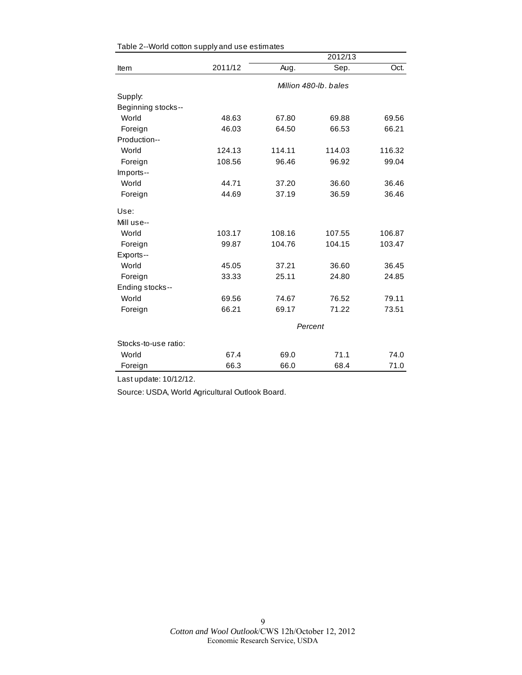|                      |                       | 2012/13 |         |        |  |
|----------------------|-----------------------|---------|---------|--------|--|
| Item                 | 2011/12               | Aug.    | Sep.    | Oct.   |  |
|                      | Million 480-lb, bales |         |         |        |  |
| Supply:              |                       |         |         |        |  |
| Beginning stocks--   |                       |         |         |        |  |
| World                | 48.63                 | 67.80   | 69.88   | 69.56  |  |
| Foreign              | 46.03                 | 64.50   | 66.53   | 66.21  |  |
| Production--         |                       |         |         |        |  |
| World                | 124.13                | 114.11  | 114.03  | 116.32 |  |
| Foreign              | 108.56                | 96.46   | 96.92   | 99.04  |  |
| Imports--            |                       |         |         |        |  |
| World                | 44.71                 | 37.20   | 36.60   | 36.46  |  |
| Foreign              | 44.69                 | 37.19   | 36.59   | 36.46  |  |
| Use:                 |                       |         |         |        |  |
| Mill use--           |                       |         |         |        |  |
| World                | 103.17                | 108.16  | 107.55  | 106.87 |  |
| Foreign              | 99.87                 | 104.76  | 104.15  | 103.47 |  |
| Exports--            |                       |         |         |        |  |
| World                | 45.05                 | 37.21   | 36.60   | 36.45  |  |
| Foreign              | 33.33                 | 25.11   | 24.80   | 24.85  |  |
| Ending stocks--      |                       |         |         |        |  |
| World                | 69.56                 | 74.67   | 76.52   | 79.11  |  |
| Foreign              | 66.21                 | 69.17   | 71.22   | 73.51  |  |
|                      |                       |         | Percent |        |  |
| Stocks-to-use ratio: |                       |         |         |        |  |
| World                | 67.4                  | 69.0    | 71.1    | 74.0   |  |
| Foreign              | 66.3                  | 66.0    | 68.4    | 71.0   |  |

<span id="page-8-0"></span>

|  |  |  | Table 2--World cotton supply and use estimates |
|--|--|--|------------------------------------------------|
|  |  |  |                                                |

Last update: 10/12/12.

Source: USDA, World Agricultural Outlook Board.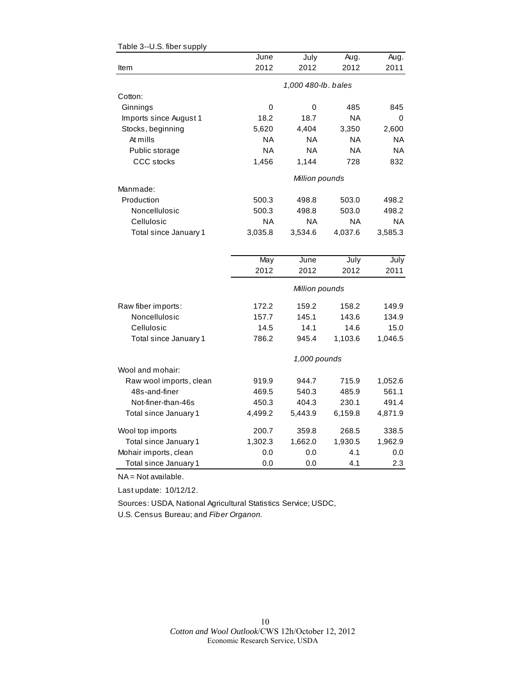| o.o. iibor buppiy       |                         |                     |           |           |
|-------------------------|-------------------------|---------------------|-----------|-----------|
|                         | June                    | July                | Aug.      | Aug.      |
| Item                    | 2012                    | 2012                | 2012      | 2011      |
|                         |                         | 1,000 480-lb. bales |           |           |
| Cotton:                 |                         |                     |           |           |
| Ginnings                | 0                       | 0                   | 485       | 845       |
| Imports since August 1  | 18.2                    | 18.7                | <b>NA</b> | 0         |
| Stocks, beginning       | 5,620                   | 4,404               | 3,350     | 2,600     |
| At mills                | ΝA                      | <b>NA</b>           | <b>NA</b> | <b>NA</b> |
| Public storage          | <b>NA</b>               | <b>NA</b>           | <b>NA</b> | <b>NA</b> |
| <b>CCC</b> stocks       | 1,456                   | 1,144               | 728       | 832       |
|                         |                         | Million pounds      |           |           |
| Manmade:                |                         |                     |           |           |
| Production              | 500.3                   | 498.8               | 503.0     | 498.2     |
| Noncellulosic           | 500.3                   | 498.8               | 503.0     | 498.2     |
| Cellulosic              | <b>NA</b>               | <b>NA</b>           | <b>NA</b> | <b>NA</b> |
| Total since January 1   | 3,035.8                 | 3,534.6             | 4,037.6   | 3,585.3   |
|                         |                         |                     |           |           |
|                         | $\overline{\text{May}}$ | June                | July      | July      |
|                         | 2012                    | 2012                | 2012      | 2011      |
|                         |                         | Million pounds      |           |           |
| Raw fiber imports:      | 172.2                   | 159.2               | 158.2     | 149.9     |
| Noncellulosic           | 157.7                   | 145.1               | 143.6     | 134.9     |
| Cellulosic              | 14.5                    | 14.1                | 14.6      | 15.0      |
| Total since January 1   | 786.2                   | 945.4               | 1,103.6   | 1,046.5   |
|                         |                         | 1,000 pounds        |           |           |
| Wool and mohair:        |                         |                     |           |           |
| Raw wool imports, clean | 919.9                   | 944.7               | 715.9     | 1,052.6   |
| 48s-and-finer           | 469.5                   | 540.3               | 485.9     | 561.1     |
| Not-finer-than-46s      | 450.3                   | 404.3               | 230.1     | 491.4     |
| Total since January 1   | 4,499.2                 | 5,443.9             | 6,159.8   | 4,871.9   |
| Wool top imports        | 200.7                   | 359.8               | 268.5     | 338.5     |
| Total since January 1   | 1,302.3                 | 1,662.0             | 1,930.5   | 1,962.9   |
| Mohair imports, clean   | 0.0                     | 0.0                 | 4.1       | 0.0       |
| Total since January 1   | 0.0                     | 0.0                 | 4.1       | 2.3       |

#### <span id="page-9-0"></span>Table 3--U.S. fiber supply

NA = Not available.

Last update: 10/12/12.

Sources: USDA, National Agricultural Statistics Service; USDC,

U.S. Census Bureau; and *Fiber Organon.*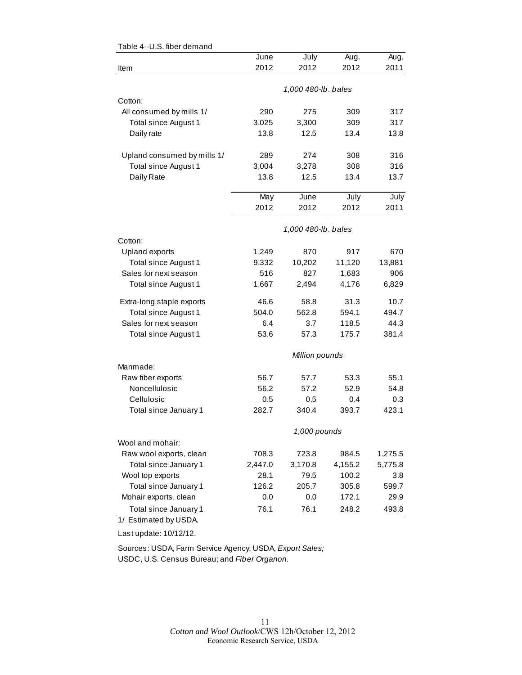|                             | June        | July                | Aug.    | Aug.         |
|-----------------------------|-------------|---------------------|---------|--------------|
| Item                        | 2012        | 2012                | 2012    | 2011         |
|                             |             |                     |         |              |
|                             |             | 1,000 480-lb. bales |         |              |
| Cotton:                     |             |                     |         |              |
| All consumed by mills 1/    | 290         | 275                 | 309     | 317          |
| Total since August 1        | 3,025       | 3,300               | 309     | 317          |
| Daily rate                  | 13.8        | 12.5                | 13.4    | 13.8         |
| Upland consumed by mills 1/ | 289         | 274                 | 308     | 316          |
| Total since August 1        | 3,004       | 3,278               | 308     | 316          |
| Daily Rate                  | 13.8        | 12.5                | 13.4    | 13.7         |
|                             |             | June                | July    |              |
|                             | May<br>2012 | 2012                | 2012    | July<br>2011 |
|                             |             |                     |         |              |
|                             |             | 1,000 480-lb. bales |         |              |
| Cotton:                     |             |                     |         |              |
| Upland exports              | 1,249       | 870                 | 917     | 670          |
| Total since August 1        | 9,332       | 10,202              | 11,120  | 13,881       |
| Sales for next season       | 516         | 827                 | 1,683   | 906          |
| Total since August 1        | 1,667       | 2,494               | 4,176   | 6,829        |
| Extra-long staple exports   | 46.6        | 58.8                | 31.3    | 10.7         |
| Total since August 1        | 504.0       | 562.8               | 594.1   | 494.7        |
| Sales for next season       | 6.4         | 3.7                 | 118.5   | 44.3         |
| Total since August 1        | 53.6        | 57.3                | 175.7   | 381.4        |
|                             |             | Million pounds      |         |              |
| Manmade:                    |             |                     |         |              |
| Raw fiber exports           | 56.7        | 57.7                | 53.3    | 55.1         |
| Noncellulosic               | 56.2        | 57.2                | 52.9    | 54.8         |
| Cellulosic                  | 0.5         | 0.5                 | 0.4     | 0.3          |
| Total since January 1       | 282.7       | 340.4               | 393.7   | 423.1        |
|                             |             | 1,000 pounds        |         |              |
| Wool and mohair:            |             |                     |         |              |
| Raw wool exports, clean     | 708.3       | 723.8               | 984.5   | 1,275.5      |
| Total since January 1       | 2,447.0     | 3,170.8             | 4,155.2 | 5,775.8      |
| Wool top exports            | 28.1        | 79.5                | 100.2   | 3.8          |
| Total since January 1       | 126.2       | 205.7               | 305.8   | 599.7        |
| Mohair exports, clean       | 0.0         | 0.0                 | 172.1   | 29.9         |
| Total since January 1       | 76.1        | 76.1                | 248.2   | 493.8        |
| 1/ Estimated by USDA.       |             |                     |         |              |

## <span id="page-10-0"></span>Table 4--U.S. fiber demand

Last update: 10/12/12.

Sources: USDA, Farm Service Agency; USDA, *Export Sales;* USDC, U.S. Census Bureau; and *Fiber Organon.*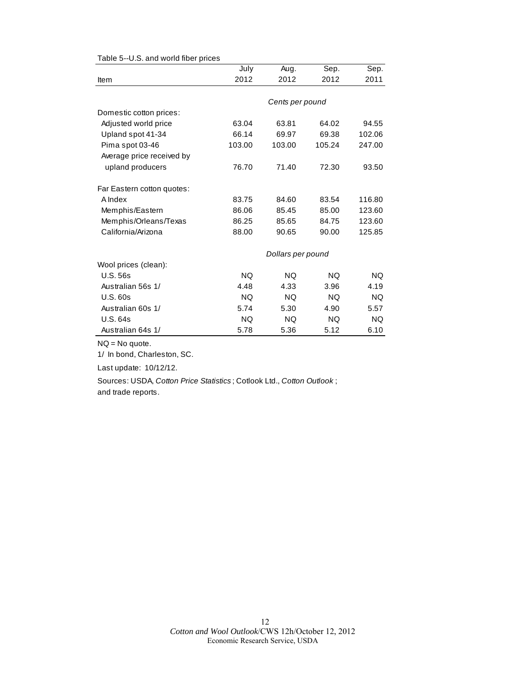<span id="page-11-0"></span>

| Table 5--U.S. and world fiber prices |  |  |  |  |
|--------------------------------------|--|--|--|--|
|--------------------------------------|--|--|--|--|

|                            | July            | Aug.              | Sep.      | Sep.      |  |
|----------------------------|-----------------|-------------------|-----------|-----------|--|
| Item                       | 2012            | 2012              | 2012      | 2011      |  |
|                            |                 |                   |           |           |  |
|                            | Cents per pound |                   |           |           |  |
| Domestic cotton prices:    |                 |                   |           |           |  |
| Adjusted world price       | 63.04           | 63.81             | 64.02     | 94.55     |  |
| Upland spot 41-34          | 66.14           | 69.97             | 69.38     | 102.06    |  |
| Pima spot 03-46            | 103.00          | 103.00            | 105.24    | 247.00    |  |
| Average price received by  |                 |                   |           |           |  |
| upland producers           | 76.70           | 71.40             | 72.30     | 93.50     |  |
| Far Eastern cotton quotes: |                 |                   |           |           |  |
| A Index                    | 83.75           | 84.60             | 83.54     | 116.80    |  |
| Memphis/Eastern            | 86.06           | 85.45             | 85.00     | 123.60    |  |
| Memphis/Orleans/Texas      | 86.25           | 85.65             | 84.75     | 123.60    |  |
| California/Arizona         | 88.00           | 90.65             | 90.00     | 125.85    |  |
|                            |                 | Dollars per pound |           |           |  |
| Wool prices (clean):       |                 |                   |           |           |  |
| <b>U.S. 56s</b>            | <b>NQ</b>       | <b>NQ</b>         | NQ.       | NQ.       |  |
| Australian 56s 1/          | 4.48            | 4.33              | 3.96      | 4.19      |  |
| U.S.60s                    | <b>NQ</b>       | <b>NQ</b>         | <b>NQ</b> | <b>NQ</b> |  |
| Australian 60s 1/          | 5.74            | 5.30              | 4.90      | 5.57      |  |
| <b>U.S. 64s</b>            | <b>NQ</b>       | <b>NQ</b>         | <b>NQ</b> | <b>NQ</b> |  |
| Australian 64s 1/          | 5.78            | 5.36              | 5.12      | 6.10      |  |

NQ = No quote.

1/ In bond, Charleston, SC.

Last update: 10/12/12.

Sources: USDA, *Cotton Price Statistics* ; Cotlook Ltd., *Cotton Outlook* ; and trade reports.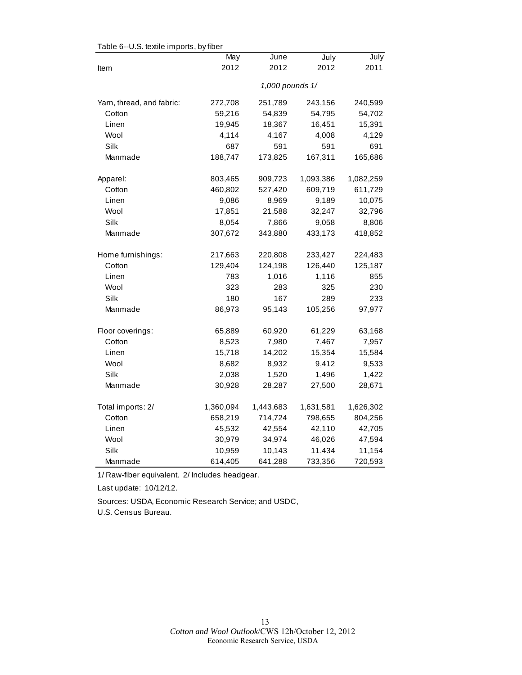| rable o--o.o. lexille imports, by liber | May       | June            | July      | July      |
|-----------------------------------------|-----------|-----------------|-----------|-----------|
| Item                                    | 2012      | 2012            | 2012      | 2011      |
|                                         |           | 1,000 pounds 1/ |           |           |
| Yarn, thread, and fabric:               | 272,708   | 251,789         | 243,156   | 240,599   |
| Cotton                                  | 59,216    | 54,839          | 54,795    | 54,702    |
| Linen                                   | 19,945    | 18,367          | 16,451    | 15,391    |
| Wool                                    | 4,114     | 4,167           | 4,008     | 4,129     |
| Silk                                    | 687       | 591             | 591       | 691       |
| Manmade                                 | 188,747   | 173,825         | 167,311   | 165,686   |
| Apparel:                                | 803,465   | 909,723         | 1,093,386 | 1,082,259 |
| Cotton                                  | 460,802   | 527,420         | 609,719   | 611,729   |
| Linen                                   | 9,086     | 8,969           | 9,189     | 10,075    |
| Wool                                    | 17,851    | 21,588          | 32,247    | 32,796    |
| Silk                                    | 8,054     | 7,866           | 9,058     | 8,806     |
| Manmade                                 | 307,672   | 343,880         | 433,173   | 418,852   |
| Home furnishings:                       | 217,663   | 220,808         | 233,427   | 224,483   |
| Cotton                                  | 129,404   | 124,198         | 126,440   | 125,187   |
| Linen                                   | 783       | 1,016           | 1,116     | 855       |
| Wool                                    | 323       | 283             | 325       | 230       |
| Silk                                    | 180       | 167             | 289       | 233       |
| Manmade                                 | 86,973    | 95,143          | 105,256   | 97,977    |
| Floor coverings:                        | 65,889    | 60,920          | 61,229    | 63,168    |
| Cotton                                  | 8,523     | 7,980           | 7,467     | 7,957     |
| Linen                                   | 15,718    | 14,202          | 15,354    | 15,584    |
| Wool                                    | 8,682     | 8,932           | 9,412     | 9,533     |
| Silk                                    | 2,038     | 1,520           | 1,496     | 1,422     |
| Manmade                                 | 30,928    | 28,287          | 27,500    | 28,671    |
| Total imports: 2/                       | 1,360,094 | 1,443,683       | 1,631,581 | 1,626,302 |
| Cotton                                  | 658,219   | 714,724         | 798,655   | 804,256   |
| Linen                                   | 45,532    | 42,554          | 42,110    | 42,705    |
| Wool                                    | 30,979    | 34,974          | 46,026    | 47,594    |
| Silk                                    | 10,959    | 10,143          | 11,434    | 11,154    |
| Manmade                                 | 614,405   | 641,288         | 733,356   | 720,593   |

<span id="page-12-0"></span>Table 6--U.S. textile imports, by fiber

1/ Raw-fiber equivalent. 2/ Includes headgear.

Last update: 10/12/12.

Sources: USDA, Economic Research Service; and USDC,

U.S. Census Bureau.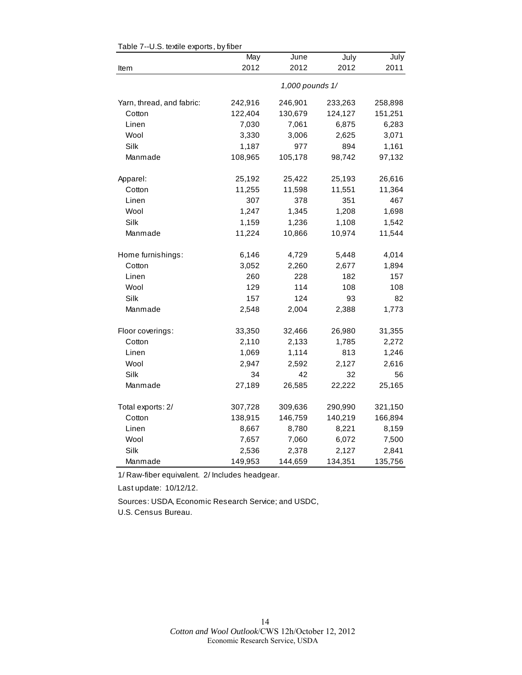|                           | May     | June            | July    | July    |
|---------------------------|---------|-----------------|---------|---------|
| Item                      | 2012    | 2012            | 2012    | 2011    |
|                           |         | 1,000 pounds 1/ |         |         |
| Yarn, thread, and fabric: | 242,916 | 246,901         | 233,263 | 258,898 |
| Cotton                    | 122,404 | 130,679         | 124,127 | 151,251 |
| Linen                     | 7,030   | 7,061           | 6,875   | 6,283   |
| Wool                      | 3,330   | 3,006           | 2,625   | 3,071   |
| Silk                      | 1,187   | 977             | 894     | 1,161   |
| Manmade                   | 108,965 | 105,178         | 98,742  | 97,132  |
| Apparel:                  | 25,192  | 25,422          | 25,193  | 26,616  |
| Cotton                    | 11,255  | 11,598          | 11,551  | 11,364  |
| Linen                     | 307     | 378             | 351     | 467     |
| Wool                      | 1,247   | 1,345           | 1,208   | 1,698   |
| Silk                      | 1,159   | 1,236           | 1,108   | 1,542   |
| Manmade                   | 11,224  | 10,866          | 10,974  | 11,544  |
| Home furnishings:         | 6,146   | 4,729           | 5,448   | 4,014   |
| Cotton                    | 3,052   | 2,260           | 2,677   | 1,894   |
| Linen                     | 260     | 228             | 182     | 157     |
| Wool                      | 129     | 114             | 108     | 108     |
| Silk                      | 157     | 124             | 93      | 82      |
| Manmade                   | 2,548   | 2,004           | 2,388   | 1,773   |
| Floor coverings:          | 33,350  | 32,466          | 26,980  | 31,355  |
| Cotton                    | 2,110   | 2,133           | 1,785   | 2,272   |
| Linen                     | 1,069   | 1,114           | 813     | 1,246   |
| Wool                      | 2,947   | 2,592           | 2,127   | 2,616   |
| Silk                      | 34      | 42              | 32      | 56      |
| Manmade                   | 27,189  | 26,585          | 22,222  | 25,165  |
| Total exports: 2/         | 307,728 | 309,636         | 290,990 | 321,150 |
| Cotton                    | 138,915 | 146,759         | 140,219 | 166,894 |
| Linen                     | 8,667   | 8,780           | 8,221   | 8,159   |
| Wool                      | 7,657   | 7,060           | 6,072   | 7,500   |
| Silk                      | 2,536   | 2,378           | 2,127   | 2,841   |
| Manmade                   | 149,953 | 144,659         | 134,351 | 135,756 |

<span id="page-13-0"></span>Table 7--U.S. textile exports, by fiber

1/ Raw-fiber equivalent. 2/ Includes headgear.

Last update: 10/12/12.

Sources: USDA, Economic Research Service; and USDC,

U.S. Census Bureau.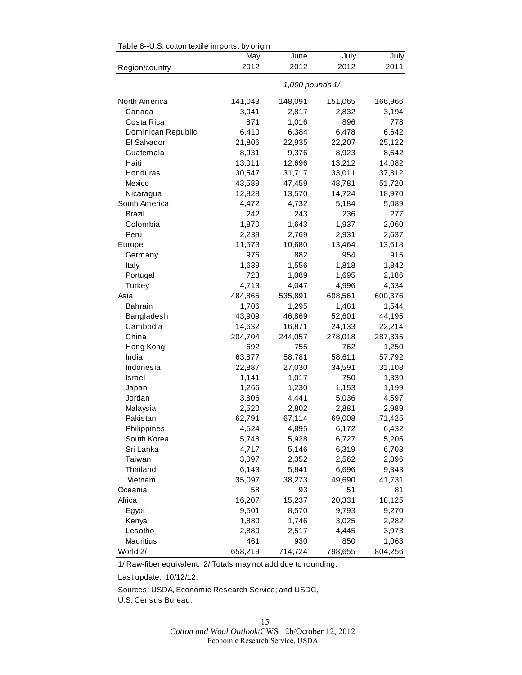<span id="page-14-0"></span>

| Table 8--U.S. cotton textile imports, by origin |         |                 |         |         |  |
|-------------------------------------------------|---------|-----------------|---------|---------|--|
|                                                 | May     | June            | July    | July    |  |
| Region/country                                  | 2012    | 2012            | 2012    | 2011    |  |
|                                                 |         | 1,000 pounds 1/ |         |         |  |
| North America                                   | 141,043 | 148,091         | 151,065 | 166,966 |  |
| Canada                                          | 3,041   | 2,817           | 2,832   | 3,194   |  |
| Costa Rica                                      | 871     | 1,016           | 896     | 778     |  |
| Dominican Republic                              | 6,410   | 6,384           | 6,478   | 6,642   |  |
| El Salvador                                     | 21,806  | 22,935          | 22,207  | 25,122  |  |
| Guatemala                                       | 8,931   | 9,376           | 8,923   | 8,642   |  |
| Haiti                                           | 13,011  | 12,696          | 13,212  | 14,082  |  |
| Honduras                                        | 30,547  | 31,717          | 33,011  | 37,812  |  |
| Mexico                                          | 43,589  | 47,459          | 48,781  | 51,720  |  |
| Nicaragua                                       | 12,828  | 13,570          | 14,724  | 18,970  |  |
| South America                                   | 4,472   | 4,732           | 5,184   | 5,089   |  |
| Brazil                                          | 242     | 243             | 236     | 277     |  |
| Colombia                                        | 1,870   | 1,643           | 1,937   | 2,060   |  |
| Peru                                            | 2,239   | 2,769           | 2,931   | 2,637   |  |
| Europe                                          | 11,573  | 10,680          | 13,464  | 13,618  |  |
| Germany                                         | 976     | 882             | 954     | 915     |  |
| Italy                                           | 1,639   | 1,556           | 1,818   | 1,842   |  |
| Portugal                                        | 723     | 1,089           | 1,695   | 2,186   |  |
| Turkey                                          | 4,713   | 4,047           | 4,996   | 4,634   |  |
| Asia                                            | 484,865 | 535,891         | 608,561 | 600,376 |  |
| <b>Bahrain</b>                                  | 1,706   | 1,295           | 1,481   | 1,544   |  |
| Bangladesh                                      | 43,909  | 46,869          | 52,601  | 44,195  |  |
| Cambodia                                        | 14,632  | 16,871          | 24,133  | 22,214  |  |
| China                                           | 204,704 | 244,057         | 278,018 | 287,335 |  |
| Hong Kong                                       | 692     | 755             | 762     | 1,250   |  |
| India                                           | 63,877  | 58,781          | 58,611  | 57,792  |  |
| Indonesia                                       | 22,887  | 27,030          | 34,591  | 31,108  |  |
| Israel                                          | 1,141   | 1,017           | 750     | 1,339   |  |
| Japan                                           | 1,266   | 1,230           | 1,153   | 1,199   |  |
| Jordan                                          | 3,806   | 4,441           | 5,036   | 4,597   |  |
| Malaysia                                        | 2,520   | 2,802           | 2,881   | 2,989   |  |
| Pakistan                                        | 62,791  | 67,114          | 69,008  | 71,425  |  |
| Philippines                                     | 4,524   | 4,895           | 6,172   | 6,432   |  |
| South Korea                                     | 5,748   | 5,928           | 6,727   | 5,205   |  |
| Sri Lanka                                       | 4,717   | 5,146           | 6,319   | 6,703   |  |
| Taiwan                                          | 3,097   | 2,352           | 2,562   | 2,396   |  |
| Thailand                                        | 6,143   | 5,841           | 6,696   | 9,343   |  |
| Vietnam                                         | 35,097  | 38,273          | 49,690  | 41,731  |  |
| Oceania                                         | 58      | 93              | 51      | 81      |  |
| Africa                                          | 16,207  | 15,237          | 20,331  | 18,125  |  |
| Egypt                                           | 9,501   | 8,570           | 9,793   | 9,270   |  |
| Kenya                                           | 1,880   | 1,746           | 3,025   | 2,282   |  |
| Lesotho                                         | 2,880   | 2,517           | 4,445   | 3,973   |  |
| Mauritius                                       | 461     | 930             | 850     | 1,063   |  |
| World 2/                                        | 658,219 | 714,724         | 798,655 | 804,256 |  |

 $\Gamma$ able 8 - U.S. cotton textile imports, by origin

1/ Raw-fiber equivalent. 2/ Totals may not add due to rounding.

Last update: 10/12/12.

Sources: USDA, Economic Research Service; and USDC,

U.S. Census Bureau.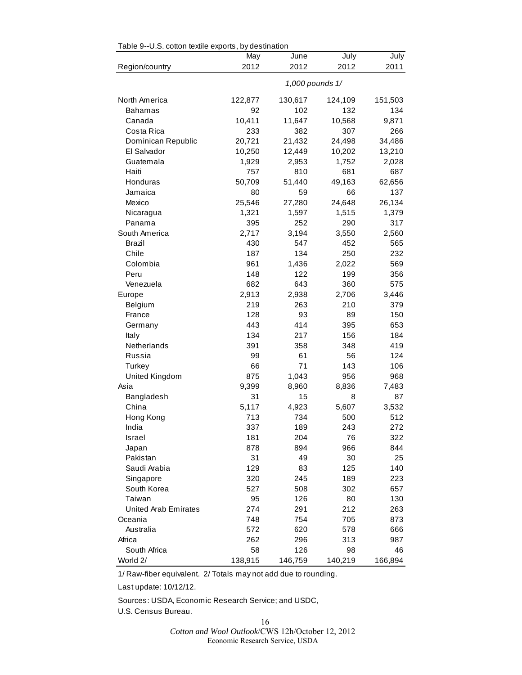|                      | May     | June            | July    | July    |
|----------------------|---------|-----------------|---------|---------|
| Region/country       | 2012    | 2012            | 2012    | 2011    |
|                      |         | 1,000 pounds 1/ |         |         |
| North America        | 122,877 | 130,617         | 124,109 | 151,503 |
| <b>Bahamas</b>       | 92      | 102             | 132     | 134     |
| Canada               | 10,411  | 11,647          | 10,568  | 9,871   |
| Costa Rica           | 233     | 382             | 307     | 266     |
| Dominican Republic   | 20,721  | 21,432          | 24,498  | 34,486  |
| El Salvador          | 10,250  | 12,449          | 10,202  | 13,210  |
| Guatemala            | 1,929   | 2,953           | 1,752   | 2,028   |
| Haiti                | 757     | 810             | 681     | 687     |
| Honduras             | 50,709  | 51,440          | 49,163  | 62,656  |
| Jamaica              | 80      | 59              | 66      | 137     |
| Mexico               | 25,546  | 27,280          | 24,648  | 26,134  |
| Nicaragua            | 1,321   | 1,597           | 1,515   | 1,379   |
| Panama               | 395     | 252             | 290     | 317     |
| South America        | 2,717   | 3,194           | 3,550   | 2,560   |
| Brazil               | 430     | 547             | 452     | 565     |
| Chile                | 187     | 134             | 250     | 232     |
| Colombia             | 961     | 1,436           | 2,022   | 569     |
| Peru                 | 148     | 122             | 199     | 356     |
| Venezuela            | 682     | 643             | 360     | 575     |
| Europe               | 2,913   | 2,938           | 2,706   | 3,446   |
| Belgium              | 219     | 263             | 210     | 379     |
| France               | 128     | 93              | 89      | 150     |
| Germany              | 443     | 414             | 395     | 653     |
| Italy                | 134     | 217             | 156     | 184     |
| Netherlands          | 391     | 358             | 348     | 419     |
| Russia               | 99      | 61              | 56      | 124     |
| Turkey               | 66      | 71              | 143     | 106     |
| United Kingdom       | 875     | 1,043           | 956     | 968     |
| Asia                 | 9,399   | 8,960           | 8,836   | 7,483   |
| Bangladesh           | 31      | 15              | 8       | 87      |
| China                | 5,117   | 4,923           | 5,607   | 3,532   |
| Hong Kong            | 713     | 734             | 500     | 512     |
| India                | 337     | 189             | 243     | 272     |
| Israel               | 181     | 204             | 76      | 322     |
| Japan                | 878     | 894             | 966     | 844     |
| Pakistan             | 31      | 49              | 30      | 25      |
| Saudi Arabia         | 129     | 83              | 125     | 140     |
| Singapore            | 320     | 245             | 189     | 223     |
| South Korea          | 527     | 508             | 302     | 657     |
| Taiwan               | 95      | 126             | 80      | 130     |
| United Arab Emirates | 274     | 291             | 212     | 263     |
| Oceania              | 748     | 754             | 705     | 873     |
| Australia            | 572     | 620             | 578     | 666     |
| Africa               | 262     | 296             | 313     | 987     |
| South Africa         | 58      | 126             | 98      | 46      |
| World 2/             | 138,915 | 146,759         | 140,219 | 166,894 |

<span id="page-15-0"></span> $Table 0-11$   $S$  cotton textile experts, by destination

1/ Raw-fiber equivalent. 2/ Totals may not add due to rounding.

Last update: 10/12/12.

Sources: USDA, Economic Research Service; and USDC,

U.S. Census Bureau.

16

*Cotton and Wool Outlook*/CWS 12h/October 12, 2012 Economic Research Service, USDA